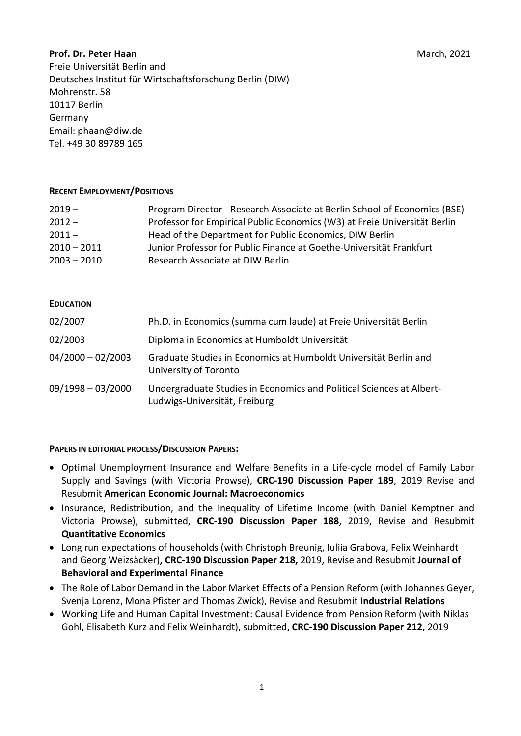### Prof. Dr. Peter Haan March, 2021

Freie Universität Berlin and Deutsches Institut für Wirtschaftsforschung Berlin (DIW) Mohrenstr. 58 10117 Berlin Germany Email: phaan@diw.de Tel. +49 30 89789 165

### RECENT EMPLOYMENT/POSITIONS

| $2019 -$      | Program Director - Research Associate at Berlin School of Economics (BSE) |
|---------------|---------------------------------------------------------------------------|
| $2012 -$      | Professor for Empirical Public Economics (W3) at Freie Universität Berlin |
| $2011 -$      | Head of the Department for Public Economics, DIW Berlin                   |
| $2010 - 2011$ | Junior Professor for Public Finance at Goethe-Universität Frankfurt       |
| $2003 - 2010$ | Research Associate at DIW Berlin                                          |

#### EDUCATION

| 02/2007             | Ph.D. in Economics (summa cum laude) at Freie Universität Berlin                                      |
|---------------------|-------------------------------------------------------------------------------------------------------|
| 02/2003             | Diploma in Economics at Humboldt Universität                                                          |
| $04/2000 - 02/2003$ | Graduate Studies in Economics at Humboldt Universität Berlin and<br>University of Toronto             |
| $09/1998 - 03/2000$ | Undergraduate Studies in Economics and Political Sciences at Albert-<br>Ludwigs-Universität, Freiburg |

### PAPERS IN EDITORIAL PROCESS/DISCUSSION PAPERS:

- Optimal Unemployment Insurance and Welfare Benefits in a Life-cycle model of Family Labor Supply and Savings (with Victoria Prowse), CRC-190 Discussion Paper 189, 2019 Revise and Resubmit American Economic Journal: Macroeconomics
- Insurance, Redistribution, and the Inequality of Lifetime Income (with Daniel Kemptner and Victoria Prowse), submitted, CRC-190 Discussion Paper 188, 2019, Revise and Resubmit Quantitative Economics
- Long run expectations of households (with Christoph Breunig, Iuliia Grabova, Felix Weinhardt and Georg Weizsäcker), CRC-190 Discussion Paper 218, 2019, Revise and Resubmit Journal of Behavioral and Experimental Finance
- The Role of Labor Demand in the Labor Market Effects of a Pension Reform (with Johannes Geyer, Svenja Lorenz, Mona Pfister and Thomas Zwick), Revise and Resubmit Industrial Relations
- Working Life and Human Capital Investment: Causal Evidence from Pension Reform (with Niklas Gohl, Elisabeth Kurz and Felix Weinhardt), submitted, CRC-190 Discussion Paper 212, 2019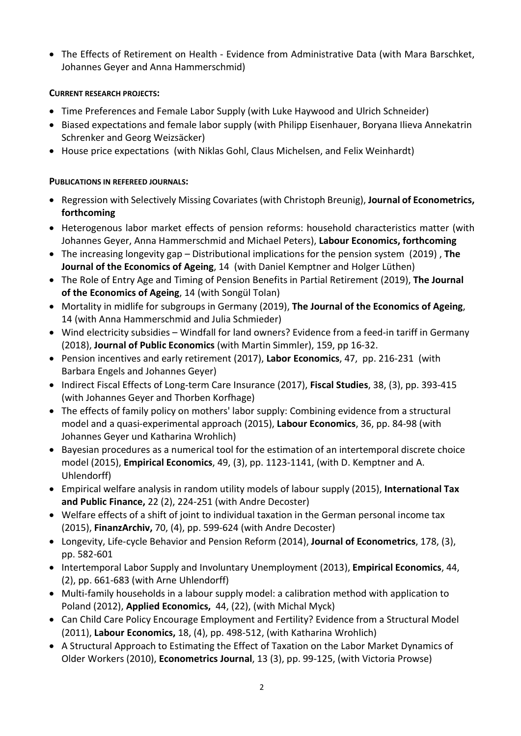The Effects of Retirement on Health - Evidence from Administrative Data (with Mara Barschket, Johannes Geyer and Anna Hammerschmid)

### CURRENT RESEARCH PROJECTS:

- Time Preferences and Female Labor Supply (with Luke Haywood and Ulrich Schneider)
- Biased expectations and female labor supply (with Philipp Eisenhauer, Boryana Ilieva Annekatrin Schrenker and Georg Weizsäcker)
- House price expectations (with Niklas Gohl, Claus Michelsen, and Felix Weinhardt)

## PUBLICATIONS IN REFEREED JOURNALS:

- Regression with Selectively Missing Covariates (with Christoph Breunig), Journal of Econometrics, forthcoming
- Heterogenous labor market effects of pension reforms: household characteristics matter (with Johannes Geyer, Anna Hammerschmid and Michael Peters), Labour Economics, forthcoming
- The increasing longevity gap Distributional implications for the pension system (2019), The Journal of the Economics of Ageing, 14 (with Daniel Kemptner and Holger Lüthen)
- The Role of Entry Age and Timing of Pension Benefits in Partial Retirement (2019), The Journal of the Economics of Ageing, 14 (with Songül Tolan)
- Mortality in midlife for subgroups in Germany (2019), The Journal of the Economics of Ageing, 14 (with Anna Hammerschmid and Julia Schmieder)
- Wind electricity subsidies Windfall for land owners? Evidence from a feed-in tariff in Germany (2018), Journal of Public Economics (with Martin Simmler), 159, pp 16-32.
- Pension incentives and early retirement (2017), Labor Economics, 47, pp. 216-231 (with Barbara Engels and Johannes Geyer)
- Indirect Fiscal Effects of Long-term Care Insurance (2017), Fiscal Studies, 38, (3), pp. 393-415 (with Johannes Geyer and Thorben Korfhage)
- The effects of family policy on mothers' labor supply: Combining evidence from a structural model and a quasi-experimental approach (2015), Labour Economics, 36, pp. 84-98 (with Johannes Geyer und Katharina Wrohlich)
- Bayesian procedures as a numerical tool for the estimation of an intertemporal discrete choice model (2015), Empirical Economics, 49, (3), pp. 1123-1141, (with D. Kemptner and A. Uhlendorff)
- Empirical welfare analysis in random utility models of labour supply (2015), International Tax and Public Finance, 22 (2), 224-251 (with Andre Decoster)
- Welfare effects of a shift of joint to individual taxation in the German personal income tax (2015), FinanzArchiv, 70, (4), pp. 599-624 (with Andre Decoster)
- Longevity, Life-cycle Behavior and Pension Reform (2014), Journal of Econometrics, 178, (3), pp. 582-601
- Intertemporal Labor Supply and Involuntary Unemployment (2013), Empirical Economics, 44, (2), pp. 661-683 (with Arne Uhlendorff)
- Multi-family households in a labour supply model: a calibration method with application to Poland (2012), Applied Economics, 44, (22), (with Michal Myck)
- Can Child Care Policy Encourage Employment and Fertility? Evidence from a Structural Model (2011), Labour Economics, 18, (4), pp. 498-512, (with Katharina Wrohlich)
- A Structural Approach to Estimating the Effect of Taxation on the Labor Market Dynamics of Older Workers (2010), Econometrics Journal, 13 (3), pp. 99-125, (with Victoria Prowse)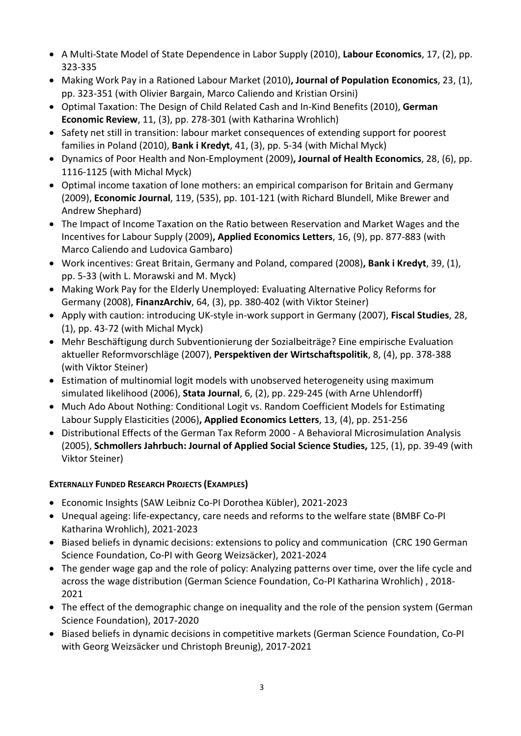- A Multi-State Model of State Dependence in Labor Supply (2010), Labour Economics, 17, (2), pp. 323-335
- Making Work Pay in a Rationed Labour Market (2010), Journal of Population Economics, 23, (1), pp. 323-351 (with Olivier Bargain, Marco Caliendo and Kristian Orsini)
- Optimal Taxation: The Design of Child Related Cash and In-Kind Benefits (2010), German Economic Review, 11, (3), pp. 278-301 (with Katharina Wrohlich)
- Safety net still in transition: labour market consequences of extending support for poorest families in Poland (2010), Bank i Kredyt, 41, (3), pp. 5-34 (with Michal Myck)
- Dynamics of Poor Health and Non-Employment (2009), Journal of Health Economics, 28, (6), pp. 1116-1125 (with Michal Myck)
- Optimal income taxation of lone mothers: an empirical comparison for Britain and Germany (2009), Economic Journal, 119, (535), pp. 101-121 (with Richard Blundell, Mike Brewer and Andrew Shephard)
- The Impact of Income Taxation on the Ratio between Reservation and Market Wages and the Incentives for Labour Supply (2009), Applied Economics Letters, 16, (9), pp. 877-883 (with Marco Caliendo and Ludovica Gambaro)
- Work incentives: Great Britain, Germany and Poland, compared (2008), Bank i Kredyt, 39, (1), pp. 5-33 (with L. Morawski and M. Myck)
- Making Work Pay for the Elderly Unemployed: Evaluating Alternative Policy Reforms for Germany (2008), FinanzArchiv, 64, (3), pp. 380-402 (with Viktor Steiner)
- Apply with caution: introducing UK-style in-work support in Germany (2007), Fiscal Studies, 28, (1), pp. 43-72 (with Michal Myck)
- Mehr Beschäftigung durch Subventionierung der Sozialbeiträge? Eine empirische Evaluation aktueller Reformvorschläge (2007), Perspektiven der Wirtschaftspolitik, 8, (4), pp. 378-388 (with Viktor Steiner)
- Estimation of multinomial logit models with unobserved heterogeneity using maximum simulated likelihood (2006), Stata Journal, 6, (2), pp. 229-245 (with Arne Uhlendorff)
- Much Ado About Nothing: Conditional Logit vs. Random Coefficient Models for Estimating Labour Supply Elasticities (2006), Applied Economics Letters, 13, (4), pp. 251-256
- Distributional Effects of the German Tax Reform 2000 A Behavioral Microsimulation Analysis (2005), Schmollers Jahrbuch: Journal of Applied Social Science Studies, 125, (1), pp. 39-49 (with Viktor Steiner)

# EXTERNALLY FUNDED RESEARCH PROJECTS (EXAMPLES)

- Economic Insights (SAW Leibniz Co-PI Dorothea Kübler), 2021-2023
- Unequal ageing: life-expectancy, care needs and reforms to the welfare state (BMBF Co-PI Katharina Wrohlich), 2021-2023
- Biased beliefs in dynamic decisions: extensions to policy and communication (CRC 190 German Science Foundation, Co-PI with Georg Weizsäcker), 2021-2024
- The gender wage gap and the role of policy: Analyzing patterns over time, over the life cycle and across the wage distribution (German Science Foundation, Co-PI Katharina Wrohlich) , 2018- 2021
- The effect of the demographic change on inequality and the role of the pension system (German Science Foundation), 2017-2020
- Biased beliefs in dynamic decisions in competitive markets (German Science Foundation, Co-PI with Georg Weizsäcker und Christoph Breunig), 2017-2021